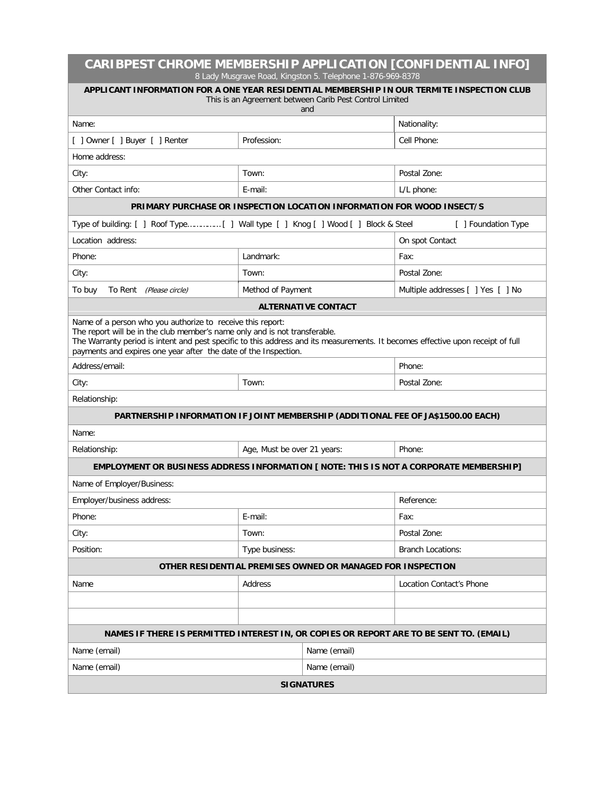| CARIBPEST CHROME MEMBERSHIP APPLICATION [CONFIDENTIAL INFO]<br>8 Lady Musgrave Road, Kingston 5. Telephone 1-876-969-8378                                                                                                                                                                                                                      |                             |                            |                                   |  |  |
|------------------------------------------------------------------------------------------------------------------------------------------------------------------------------------------------------------------------------------------------------------------------------------------------------------------------------------------------|-----------------------------|----------------------------|-----------------------------------|--|--|
| APPLICANT INFORMATION FOR A ONE YEAR RESIDENTIAL MEMBERSHIP IN OUR TERMITE INSPECTION CLUB<br>This is an Agreement between Carib Pest Control Limited<br>and                                                                                                                                                                                   |                             |                            |                                   |  |  |
| Name:                                                                                                                                                                                                                                                                                                                                          |                             |                            | Nationality:                      |  |  |
| [ ] Owner [ ] Buyer [ ] Renter                                                                                                                                                                                                                                                                                                                 | Profession:                 |                            | Cell Phone:                       |  |  |
| Home address:                                                                                                                                                                                                                                                                                                                                  |                             |                            |                                   |  |  |
| City:                                                                                                                                                                                                                                                                                                                                          | Town:                       |                            | Postal Zone:                      |  |  |
| Other Contact info:                                                                                                                                                                                                                                                                                                                            | E-mail:                     |                            | L/L phone:                        |  |  |
| PRIMARY PURCHASE OR INSPECTION LOCATION INFORMATION FOR WOOD INSECT/S                                                                                                                                                                                                                                                                          |                             |                            |                                   |  |  |
| Type of building: [ ] Roof Type [ ] Wall type [ ] Knog [ ] Wood [ ] Block & Steel<br>[ ] Foundation Type                                                                                                                                                                                                                                       |                             |                            |                                   |  |  |
| Location address:                                                                                                                                                                                                                                                                                                                              |                             |                            | On spot Contact                   |  |  |
| Phone:                                                                                                                                                                                                                                                                                                                                         | Landmark:                   |                            | Fax:                              |  |  |
| City:                                                                                                                                                                                                                                                                                                                                          | Town:                       |                            | Postal Zone:                      |  |  |
| To buy<br>To Rent (Please circle)                                                                                                                                                                                                                                                                                                              | Method of Payment           |                            | Multiple addresses [ ] Yes [ ] No |  |  |
|                                                                                                                                                                                                                                                                                                                                                |                             | <b>ALTERNATIVE CONTACT</b> |                                   |  |  |
| Name of a person who you authorize to receive this report:<br>The report will be in the club member's name only and is not transferable.<br>The Warranty period is intent and pest specific to this address and its measurements. It becomes effective upon receipt of full<br>payments and expires one year after the date of the Inspection. |                             |                            |                                   |  |  |
| Address/email:                                                                                                                                                                                                                                                                                                                                 |                             | Phone:                     |                                   |  |  |
| City:                                                                                                                                                                                                                                                                                                                                          | Town:                       |                            | Postal Zone:                      |  |  |
| Relationship:                                                                                                                                                                                                                                                                                                                                  |                             |                            |                                   |  |  |
| PARTNERSHIP INFORMATION IF JOINT MEMBERSHIP (ADDITIONAL FEE OF JA\$1500.00 EACH)                                                                                                                                                                                                                                                               |                             |                            |                                   |  |  |
| Name:                                                                                                                                                                                                                                                                                                                                          |                             |                            |                                   |  |  |
| Relationship:                                                                                                                                                                                                                                                                                                                                  | Age, Must be over 21 years: |                            | Phone:                            |  |  |
| EMPLOYMENT OR BUSINESS ADDRESS INFORMATION [ NOTE: THIS IS NOT A CORPORATE MEMBERSHIP]                                                                                                                                                                                                                                                         |                             |                            |                                   |  |  |
| Name of Employer/Business:                                                                                                                                                                                                                                                                                                                     |                             |                            |                                   |  |  |
| Emplover/business address:                                                                                                                                                                                                                                                                                                                     |                             | Reference:                 |                                   |  |  |
| Phone:                                                                                                                                                                                                                                                                                                                                         | E-mail:                     |                            | Fax:                              |  |  |
| City:                                                                                                                                                                                                                                                                                                                                          | Town:                       |                            | Postal Zone:                      |  |  |
| Position:                                                                                                                                                                                                                                                                                                                                      | Type business:              |                            | <b>Branch Locations:</b>          |  |  |
| OTHER RESIDENTIAL PREMISES OWNED OR MANAGED FOR INSPECTION                                                                                                                                                                                                                                                                                     |                             |                            |                                   |  |  |
| Name                                                                                                                                                                                                                                                                                                                                           | Address                     |                            | Location Contact's Phone          |  |  |
|                                                                                                                                                                                                                                                                                                                                                |                             |                            |                                   |  |  |
|                                                                                                                                                                                                                                                                                                                                                |                             |                            |                                   |  |  |
| NAMES IF THERE IS PERMITTED INTEREST IN, OR COPIES OR REPORT ARE TO BE SENT TO. (EMAIL)                                                                                                                                                                                                                                                        |                             |                            |                                   |  |  |
| Name (email)                                                                                                                                                                                                                                                                                                                                   |                             | Name (email)               |                                   |  |  |
| Name (email)                                                                                                                                                                                                                                                                                                                                   |                             | Name (email)               |                                   |  |  |
| <b>SIGNATURES</b>                                                                                                                                                                                                                                                                                                                              |                             |                            |                                   |  |  |